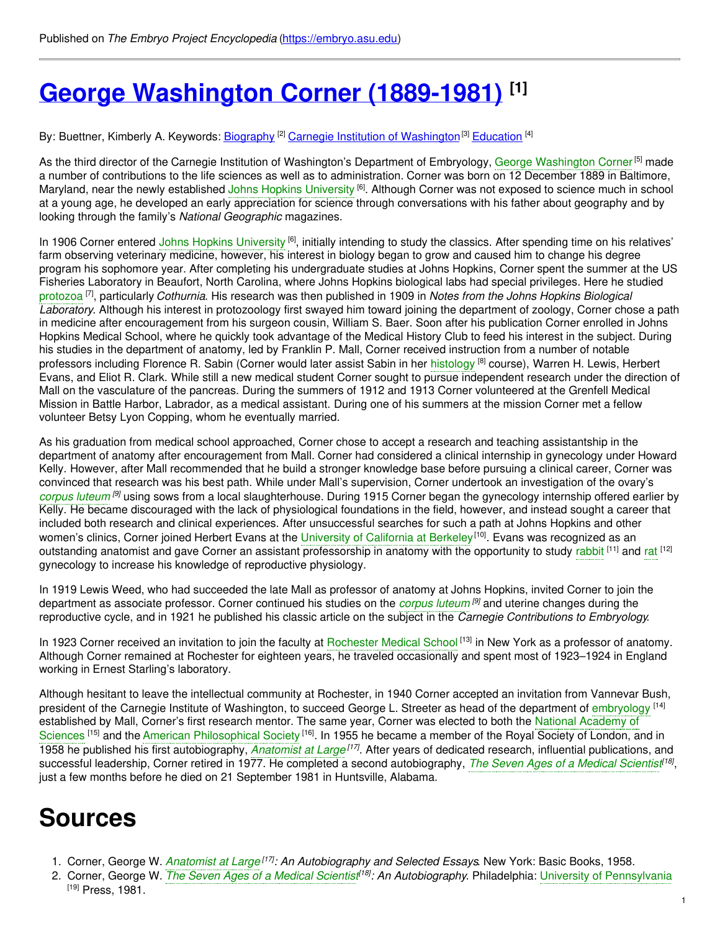# **George [Washington](https://embryo.asu.edu/pages/george-washington-corner-1889-1981) Corner (1889-1981) [1]**

By: Buettner, Kimberly A. Keywords: <u>[Biography](https://embryo.asu.edu/keywords/biography) [2] Carnegie Institution of [Washington](https://embryo.asu.edu/keywords/carnegie-institution-washington)</u>[3] [Education](https://embryo.asu.edu/keywords/education) <sup>[4]</sup>

As the third director of the Carnegie Institution of [Washington](https://embryo.asu.edu/search?text=George%20Washington%20Corner)'s Department of Embryology, George Washington Corner<sup>[5]</sup> made a number of contributions to the life sciences as well as to administration. Corner was born on 12 December 1889 in Baltimore, Maryland, near the newly established Johns Hopkins [University](https://embryo.asu.edu/search?text=Johns%20Hopkins%20University) <sup>[6]</sup>. Although Corner was not exposed to science much in school at a young age, he developed an early appreciation for science through conversations with his father about geography and by looking through the family's *National Geographic* magazines.

In 1906 Corner entered Johns Hopkins [University](https://embryo.asu.edu/search?text=Johns%20Hopkins%20University) <sup>[6]</sup>, initially intending to study the classics. After spending time on his relatives' farm observing veterinary medicine, however, his interest in biology began to grow and caused him to change his degree program his sophomore year. After completing his undergraduate studies at Johns Hopkins, Corner spent the summer at the US Fisheries Laboratory in Beaufort, North Carolina, where Johns Hopkins biological labs had special privileges. Here he studied [protozoa](https://embryo.asu.edu/search?text=protozoa) [7] , particularly *Cothurnia*. His research was then published in 1909 in *Notes from the Johns Hopkins Biological Laboratory*. Although his interest in protozoology first swayed him toward joining the department of zoology, Corner chose a path in medicine after encouragement from his surgeon cousin, William S. Baer. Soon after his publication Corner enrolled in Johns Hopkins Medical School, where he quickly took advantage of the Medical History Club to feed his interest in the subject. During his studies in the department of anatomy, led by Franklin P. Mall, Corner received instruction from a number of notable professors including Florence R. Sabin (Corner would later assist Sabin in her [histology](https://embryo.asu.edu/search?text=histology) <sup>[8]</sup> course), Warren H. Lewis, Herbert Evans, and Eliot R. Clark. While still a new medical student Corner sought to pursue independent research under the direction of Mall on the vasculature of the pancreas. During the summers of 1912 and 1913 Corner volunteered at the Grenfell Medical Mission in Battle Harbor, Labrador, as a medical assistant. During one of his summers at the mission Corner met a fellow volunteer Betsy Lyon Copping, whom he eventually married.

As his graduation from medical school approached, Corner chose to accept a research and teaching assistantship in the department of anatomy after encouragement from Mall. Corner had considered a clinical internship in gynecology under Howard Kelly. However, after Mall recommended that he build a stronger knowledge base before pursuing a clinical career, Corner was convinced that research was his best path. While under Mall's supervision, Corner undertook an investigation of the ovary's *[corpus](https://embryo.asu.edu/search?text=corpus%20luteum) luteum [9]* using sows from a local slaughterhouse. During 1915 Corner began the gynecology internship offered earlier by Kelly. He became discouraged with the lack of physiological foundations in the field, however, and instead sought a career that included both research and clinical experiences. After unsuccessful searches for such a path at Johns Hopkins and other women's clinics, Corner joined Herbert Evans at the [University](https://embryo.asu.edu/search?text=University%20of%20California%20at%20Berkeley) of California at Berkeley<sup>[10]</sup>. Evans was recognized as an outstanding anatomist and gave Corner an assistant professorship in anatomy with the opportunity to study [rabbit](https://embryo.asu.edu/search?text=rabbit) <sup>[11]</sup> and [rat](https://embryo.asu.edu/search?text=rat) <sup>[12]</sup> gynecology to increase his knowledge of reproductive physiology.

In 1919 Lewis Weed, who had succeeded the late Mall as professor of anatomy at Johns Hopkins, invited Corner to join the department as associate professor. Corner continued his studies on the *[corpus](https://embryo.asu.edu/search?text=corpus%20luteum) luteum [9]* and uterine changes during the reproductive cycle, and in 1921 he published his classic article on the subject in the *Carnegie Contributions to Embryology*.

In 1923 Corner received an invitation to join the faculty at [Rochester](https://embryo.asu.edu/search?text=Rochester%20Medical%20School) Medical School<sup>[13]</sup> in New York as a professor of anatomy. Although Corner remained at Rochester for eighteen years, he traveled occasionally and spent most of 1923–1924 in England working in Ernest Starling's laboratory.

Although hesitant to leave the intellectual community at Rochester, in 1940 Corner accepted an invitation from Vannevar Bush, president of the Carnegie Institute of Washington, to succeed George L. Streeter as head of the department of [embryology](https://embryo.asu.edu/search?text=embryology) <sup>[14]</sup> established by Mall, Corner's first research mentor. The same year, Corner was elected to both the National Academy of Sciences <sup>[15]</sup> and the American [Philosophical](https://embryo.asu.edu/search?text=National%20Academy%20of%20Sciences) Society <sup>[16]</sup>. In 1955 he became a member of the Royal Society of London, and in 1958 he published his first autobiography, *[Anatomist](https://embryo.asu.edu/search?text=Anatomist%20at%20Large) at Large [17]* . After years of dedicated research, influential publications, and successful leadership, Corner retired in 1977. He completed a second autobiography, *The Seven Ages of a Medical [Scientis](https://embryo.asu.edu/search?text=The%20Seven%20Ages%20of%20a%20Medical%20Scientist)t [18]* , just a few months before he died on 21 September 1981 in Huntsville, Alabama.

## **Sources**

- 1. Corner, George W. *[Anatomist](https://embryo.asu.edu/search?text=Anatomist%20at%20Large) at Large [17] : An Autobiography and Selected Essays*. New York: Basic Books, 1958.
- 2. Corner, George W. *The Seven Ages of a Medical [Scientis](https://embryo.asu.edu/search?text=The%20Seven%20Ages%20of%20a%20Medical%20Scientist)t [18] : An Autobiography*. Philadelphia: University of [Pennsylvania](https://embryo.asu.edu/search?text=University%20of%20Pennsylvania)  $[19]$  Press, 1981.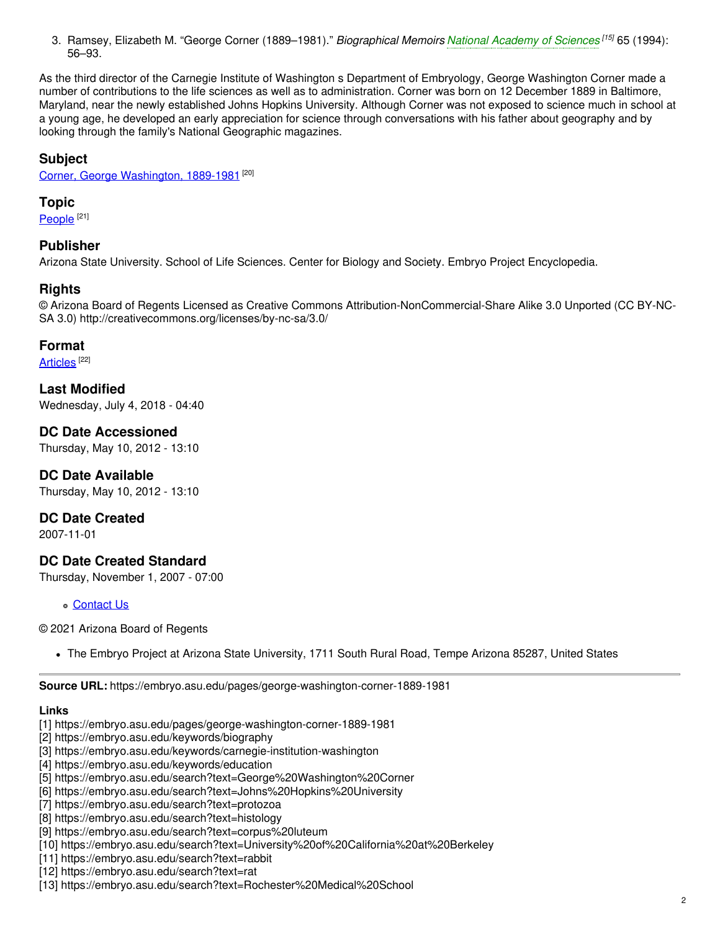3. Ramsey, Elizabeth M. "George Corner (1889–1981)." *Biographical Memoirs National [Academy](https://embryo.asu.edu/search?text=National%20Academy%20of%20Sciences) of Sciences [15]* 65 (1994): 56–93.

As the third director of the Carnegie Institute of Washington s Department of Embryology, George Washington Corner made a number of contributions to the life sciences as well as to administration. Corner was born on 12 December 1889 in Baltimore, Maryland, near the newly established Johns Hopkins University. Although Corner was not exposed to science much in school at a young age, he developed an early appreciation for science through conversations with his father about geography and by looking through the family's National Geographic magazines.

## **Subject**

Corner, George [Washington,](https://embryo.asu.edu/library-congress-subject-headings/corner-george-washington-1889-1981) 1889-1981<sup>[20]</sup>

#### **Topic**

<u>[People](https://embryo.asu.edu/topics/people)</u>  $^{[21]}$ 

## **Publisher**

Arizona State University. School of Life Sciences. Center for Biology and Society. Embryo Project Encyclopedia.

#### **Rights**

© Arizona Board of Regents Licensed as Creative Commons Attribution-NonCommercial-Share Alike 3.0 Unported (CC BY-NC-SA 3.0) http://creativecommons.org/licenses/by-nc-sa/3.0/

#### **Format**

[Articles](https://embryo.asu.edu/formats/articles)<sup>[22]</sup>

**Last Modified** Wednesday, July 4, 2018 - 04:40

**DC Date Accessioned** Thursday, May 10, 2012 - 13:10

**DC Date Available** Thursday, May 10, 2012 - 13:10

**DC Date Created**

2007-11-01

## **DC Date Created Standard**

Thursday, November 1, 2007 - 07:00

[Contact](https://embryo.asu.edu/contact) Us

© 2021 Arizona Board of Regents

The Embryo Project at Arizona State University, 1711 South Rural Road, Tempe Arizona 85287, United States

**Source URL:** https://embryo.asu.edu/pages/george-washington-corner-1889-1981

#### **Links**

- [1] https://embryo.asu.edu/pages/george-washington-corner-1889-1981
- [2] https://embryo.asu.edu/keywords/biography
- [3] https://embryo.asu.edu/keywords/carnegie-institution-washington
- [4] https://embryo.asu.edu/keywords/education
- [5] https://embryo.asu.edu/search?text=George%20Washington%20Corner
- [6] https://embryo.asu.edu/search?text=Johns%20Hopkins%20University
- [7] https://embryo.asu.edu/search?text=protozoa
- [8] https://embryo.asu.edu/search?text=histology
- [9] https://embryo.asu.edu/search?text=corpus%20luteum
- [10] https://embryo.asu.edu/search?text=University%20of%20California%20at%20Berkeley
- [11] https://embryo.asu.edu/search?text=rabbit
- [12] https://embryo.asu.edu/search?text=rat
- [13] https://embryo.asu.edu/search?text=Rochester%20Medical%20School